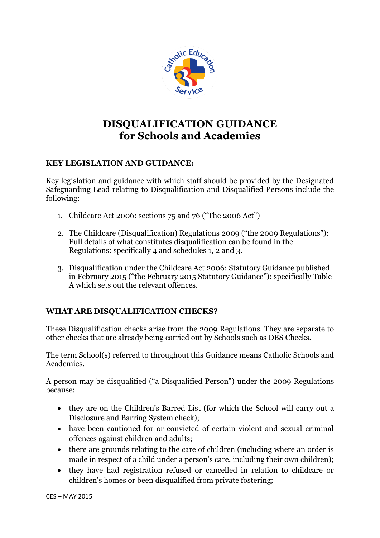

# **DISQUALIFICATION GUIDANCE for Schools and Academies**

# **KEY LEGISLATION AND GUIDANCE:**

Key legislation and guidance with which staff should be provided by the Designated Safeguarding Lead relating to Disqualification and Disqualified Persons include the following:

- 1. Childcare Act 2006: sections 75 and 76 ("The 2006 Act")
- 2. The Childcare (Disqualification) Regulations 2009 ("the 2009 Regulations"): Full details of what constitutes disqualification can be found in the [Regulations: specifically 4](http://www.legislation.gov.uk/uksi/2009/1547/regulation/4/made) and schedules 1, 2 and 3.
- 3. Disqualification under the Childcare Act 2006: Statutory Guidance published in February 2015 ("the February 2015 Statutory Guidance"): specifically Table A which sets out the relevant offences.

# **WHAT ARE DISQUALIFICATION CHECKS?**

These Disqualification checks arise from the 2009 Regulations. They are separate to other checks that are already being carried out by Schools such as DBS Checks.

The term School(s) referred to throughout this Guidance means Catholic Schools and Academies.

A person may be disqualified ("a Disqualified Person") under the 2009 Regulations because:

- they are on the Children's Barred List (for which the School will carry out a Disclosure and Barring System check);
- have been cautioned for or convicted of certain violent and sexual criminal offences against children and adults;
- there are grounds relating to the care of children (including where an order is made in respect of a child under a person's care, including their own children);
- they have had registration refused or cancelled in relation to childcare or children's homes or been disqualified from private fostering;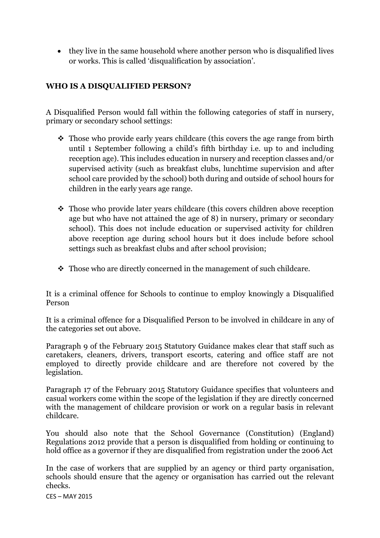they live in the same household where another person who is disqualified lives or works. This is called 'disqualification by association'.

## **WHO IS A DISQUALIFIED PERSON?**

A Disqualified Person would fall within the following categories of staff in nursery, primary or secondary school settings:

- Those who provide early years childcare (this covers the age range from birth until 1 September following a child's fifth birthday i.e. up to and including reception age). This includes education in nursery and reception classes and/or supervised activity (such as breakfast clubs, lunchtime supervision and after school care provided by the school) both during and outside of school hours for children in the early years age range.
- Those who provide later years childcare (this covers children above reception age but who have not attained the age of 8) in nursery, primary or secondary school). This does not include education or supervised activity for children above reception age during school hours but it does include before school settings such as breakfast clubs and after school provision;
- Those who are directly concerned in the management of such childcare.

It is a criminal offence for Schools to continue to employ knowingly a Disqualified Person

It is a criminal offence for a Disqualified Person to be involved in childcare in any of the categories set out above.

Paragraph 9 of the February 2015 Statutory Guidance makes clear that staff such as caretakers, cleaners, drivers, transport escorts, catering and office staff are not employed to directly provide childcare and are therefore not covered by the legislation.

Paragraph 17 of the February 2015 Statutory Guidance specifies that volunteers and casual workers come within the scope of the legislation if they are directly concerned with the management of childcare provision or work on a regular basis in relevant childcare.

You should also note that the School Governance (Constitution) (England) Regulations 2012 provide that a person is disqualified from holding or continuing to hold office as a governor if they are disqualified from registration under the 2006 Act

In the case of workers that are supplied by an agency or third party organisation, schools should ensure that the agency or organisation has carried out the relevant checks.

CES – MAY 2015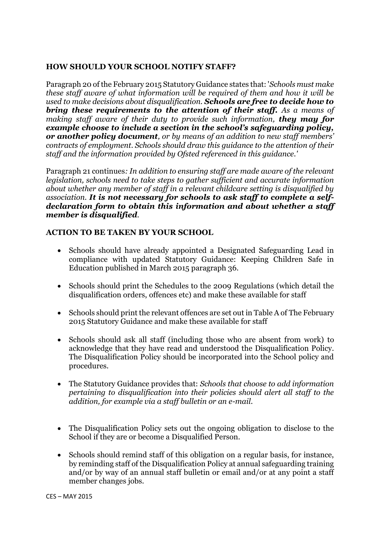#### **HOW SHOULD YOUR SCHOOL NOTIFY STAFF?**

Paragraph 20 of the February 2015 Statutory Guidance states that: '*Schools must make these staff aware of what information will be required of them and how it will be used to make decisions about disqualification. Schools are free to decide how to bring these requirements to the attention of their staff. As a means of making staff aware of their duty to provide such information, they may for example choose to include a section in the school's safeguarding policy, or another policy document, or by means of an addition to new staff members' contracts of employment. Schools should draw this guidance to the attention of their staff and the information provided by Ofsted referenced in this guidance.'*

Paragraph 21 continues*: In addition to ensuring staff are made aware of the relevant legislation, schools need to take steps to gather sufficient and accurate information about whether any member of staff in a relevant childcare setting is disqualified by association. It is not necessary for schools to ask staff to complete a selfdeclaration form to obtain this information and about whether a staff member is disqualified.*

### **ACTION TO BE TAKEN BY YOUR SCHOOL**

- Schools should have already appointed a Designated Safeguarding Lead in compliance with updated Statutory Guidance: Keeping Children Safe in Education published in March 2015 paragraph 36.
- Schools should print the Schedules to the 2009 Regulations (which detail the disqualification orders, offences etc) and make these available for staff
- Schools should print the relevant offences are set out in Table A of The February 2015 Statutory Guidance and make these available for staff
- Schools should ask all staff (including those who are absent from work) to acknowledge that they have read and understood the Disqualification Policy. The Disqualification Policy should be incorporated into the School policy and procedures.
- The Statutory Guidance provides that: *Schools that choose to add information pertaining to disqualification into their policies should alert all staff to the addition, for example via a staff bulletin or an e-mail.*
- The Disqualification Policy sets out the ongoing obligation to disclose to the School if they are or become a Disqualified Person.
- Schools should remind staff of this obligation on a regular basis, for instance, by reminding staff of the Disqualification Policy at annual safeguarding training and/or by way of an annual staff bulletin or email and/or at any point a staff member changes jobs.